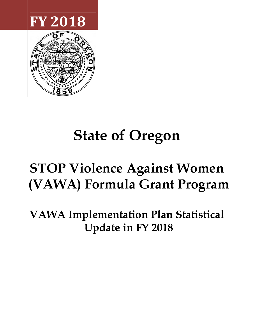



# **State of Oregon**

# **STOP Violence Against Women (VAWA) Formula Grant Program**

**VAWA Implementation Plan Statistical Update in FY 2018**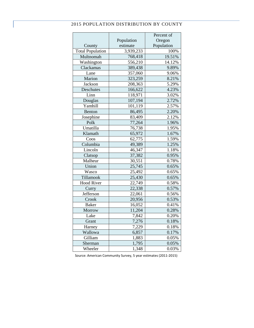#### 2015 POPULATION DISTRIBUTION BY COUNTY

|                         |            | Percent of |
|-------------------------|------------|------------|
|                         | Population | Oregon     |
| County                  | estimate   | Population |
| <b>Total Population</b> | 3,939,233  | 100%       |
| Multnomah               | 768,418    | 19.51%     |
| Washington              | 556,210    | 14.12%     |
| Clackamas               | 389,438    | 9.89%      |
| Lane                    | 357,060    | 9.06%      |
| Marion                  | 323,259    | 8.21%      |
| <b>Jackson</b>          | 208,363    | 5.29%      |
| Deschutes               | 166,622    | 4.23%      |
| Linn                    | 118,971    | 3.02%      |
| Douglas                 | 107,194    | 2.72%      |
| Yamhill                 | 101,119    | 2.57%      |
| Benton                  | 86,495     | 2.20%      |
| Josephine               | 83,409     | 2.12%      |
| Polk                    | 77,264     | 1.96%      |
| Umatilla                | 76,738     | 1.95%      |
| Klamath                 | 65,972     | 1.67%      |
| Coos                    | 62,775     | 1.59%      |
| Columbia                | 49,389     | 1.25%      |
| Lincoln                 | 46,347     | 1.18%      |
| Clatsop                 | 37,382     | 0.95%      |
| Malheur                 | 30,551     | 0.78%      |
| Union                   | 25,745     | 0.65%      |
| Wasco                   | 25,492     | 0.65%      |
| Tillamook               | 25,430     | 0.65%      |
| Hood River              | 22,749     | 0.58%      |
| Curry                   | 22,338     | 0.57%      |
| Jefferson               | 22,061     | 0.56%      |
| Crook                   | 20,956     | 0.53%      |
| <b>Baker</b>            | 16,052     | 0.41%      |
| Morrow                  | 11,204     | 0.28%      |
| Lake                    | 7,842      | 0.20%      |
| Grant                   | 7,276      | 0.18%      |
| Harney                  | 7,229      | 0.18%      |
| Wallowa                 | 6,857      | 0.17%      |
| Gilliam                 | 1,883      | 0.05%      |
| Sherman                 | 1,795      | 0.05%      |
| Wheeler                 | 1,348      | 0.03%      |

Source: American Community Survey, 5 year estimates (2011-2015)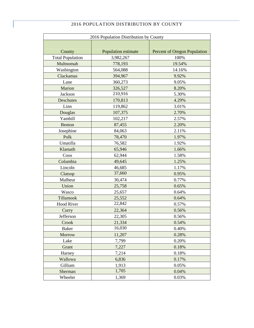|                         | 2016 POPULATION DISTRIBUTION BY COUNTY |                                     |  |  |  |  |  |  |  |
|-------------------------|----------------------------------------|-------------------------------------|--|--|--|--|--|--|--|
|                         | 2016 Population Distribution by County |                                     |  |  |  |  |  |  |  |
|                         |                                        |                                     |  |  |  |  |  |  |  |
| County                  | Population estimate                    | <b>Percent of Oregon Population</b> |  |  |  |  |  |  |  |
| <b>Total Population</b> | 3,982,267                              | 100%                                |  |  |  |  |  |  |  |
| Multnomah               | 778,193                                | 19.54%                              |  |  |  |  |  |  |  |
| Washington              | 564,088                                | 14.16%                              |  |  |  |  |  |  |  |
| Clackamas               | 394,967                                | 9.92%                               |  |  |  |  |  |  |  |
| Lane                    | 360,273                                | 9.05%                               |  |  |  |  |  |  |  |
| Marion                  | 326,527                                | 8.20%                               |  |  |  |  |  |  |  |
| Jackson                 | 210,916                                | 5.30%                               |  |  |  |  |  |  |  |
| Deschutes               | 170,813                                | 4.29%                               |  |  |  |  |  |  |  |
|                         |                                        |                                     |  |  |  |  |  |  |  |

| Multnomah         | 778,193 | 19.54% |
|-------------------|---------|--------|
| Washington        | 564,088 | 14.16% |
| Clackamas         | 394,967 | 9.92%  |
| Lane              | 360,273 | 9.05%  |
| Marion            | 326,527 | 8.20%  |
| Jackson           | 210,916 | 5.30%  |
| <b>Deschutes</b>  | 170,813 | 4.29%  |
| Linn              | 119,862 | 3.01%  |
| Douglas           | 107,375 | 2.70%  |
| Yamhill           | 102,217 | 2.57%  |
| Benton            | 87,455  | 2.20%  |
| Josephine         | 84,063  | 2.11%  |
| Polk              | 78,470  | 1.97%  |
| Umatilla          | 76,582  | 1.92%  |
| Klamath           | 65,946  | 1.66%  |
| Coos              | 62,944  | 1.58%  |
| Columbia          | 49,645  | 1.25%  |
| Lincoln           | 46,685  | 1.17%  |
| Clatsop           | 37,660  | 0.95%  |
| Malheur           | 30,474  | 0.77%  |
| Union             | 25,758  | 0.65%  |
| Wasco             | 25,657  | 0.64%  |
| Tillamook         | 25,552  | 0.64%  |
| <b>Hood River</b> | 22,842  | 0.57%  |
| Curry             | 22,364  | 0.56%  |
| Jefferson         | 22,305  | 0.56%  |
| Crook             | 21,334  | 0.54%  |
| <b>Baker</b>      | 16,030  | 0.40%  |
| <b>Morrow</b>     | 11,207  | 0.28%  |
| Lake              | 7,799   | 0.20%  |
| Grant             | 7,227   | 0.18%  |
| Harney            | 7,214   | 0.18%  |
| Wallowa           | 6,836   | 0.17%  |
| Gilliam           | 1,913   | 0.05%  |
| Sherman           | 1,705   | 0.04%  |
| Wheeler           | 1,369   | 0.03%  |
|                   |         |        |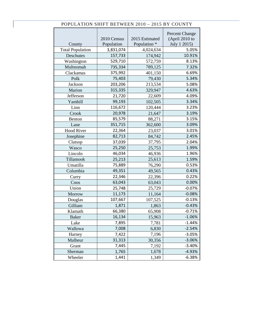|                         |             |                | <b>Percent Change</b> |
|-------------------------|-------------|----------------|-----------------------|
|                         | 2010 Census | 2015 Estimated | (April 2010 to        |
| County                  | Population  | Population *   | July 1 2015)          |
| <b>Total Population</b> | 3,831,074   | 4,024,634      | 5.05%                 |
| Deschutes               | 157,733     | 174,942        | 10.91%                |
| Washington              | 529,710     | 572,759        | 8.13%                 |
| Multnomah               | 735,334     | 789,125        | 7.32%                 |
| Clackamas               | 375,992     | 401,150        | 6.69%                 |
| Polk                    | 75,403      | 79,430         | 5.34%                 |
| Jackson                 | 203,206     | 213,534        | 5.08%                 |
| Marion                  | 315,335     | 329,947        | 4.63%                 |
| Jefferson               | 21,720      | 22,609         | 4.09%                 |
| Yamhill                 | 99,193      | 102,505        | 3.34%                 |
| Linn                    | 116,672     | 120,444        | 3.23%                 |
| Crook                   | 20,978      | 21,647         | 3.19%                 |
| <b>Benton</b>           | 85,579      | 88,271         | 3.15%                 |
| Lane                    | 351,715     | 362,600        | 3.09%                 |
| <b>Hood River</b>       | 22,364      | 23,037         | 3.01%                 |
| Josephine               | 82,713      | 84,742         | 2.45%                 |
| Clatsop                 | 37,039      | 37,795         | 2.04%                 |
| Wasco                   | 25,250      | 25,753         | 1.99%                 |
| Lincoln                 | 46,034      | 46,936         | 1.96%                 |
| Tillamook               | 25,213      | 25,613         | 1.59%                 |
| Umatilla                | 75,889      | 76,290         | 0.53%                 |
| Columbia                | 49,351      | 49,565         | 0.43%                 |
| Curry                   | 22,346      | 22,396         | 0.22%                 |
| Coos                    | 63,043      | 63,043         | 0.00%                 |
| Union                   | 25,748      | 25,729         | $-0.07%$              |
| Morrow                  | 11,173      | 11,164         | $-0.08%$              |
| Douglas                 | 107,667     | 107,525        | $-0.13%$              |
| Gilliam                 | 1,871       | 1,863          | $-0.43%$              |
| Klamath                 | 66,380      | 65,908         | $-0.71%$              |
| <b>Baker</b>            | 16,134      | 15,963         | $-1.06%$              |
| Lake                    | 7,895       | 7,781          | $-1.44%$              |
| Wallowa                 | 7,008       | 6,830          | $-2.54%$              |
| Harney                  | 7,422       | 7,196          | $-3.05%$              |
| Malheur                 | 31,313      | 30,356         | $-3.06%$              |
| Grant                   | 7,445       | 7,192          | $-3.40%$              |
| Sherman                 | 1,765       | 1,678          | $-4.93%$              |
| Wheeler                 | 1,441       | 1,349          | $-6.38%$              |

## POPULATION SHIFT BETWEEN 2010 – 2015 BY COUNTY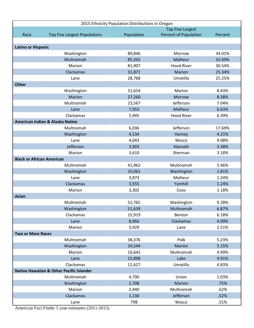|                                  | 2015 Ethnicity Population Distributions in Oregon   |            |                              |         |  |  |  |  |
|----------------------------------|-----------------------------------------------------|------------|------------------------------|---------|--|--|--|--|
|                                  |                                                     |            | <b>Top Five Largest</b>      |         |  |  |  |  |
| Race                             | <b>Top Five Largest Populations</b>                 | Population | <b>Percent of Population</b> | Percent |  |  |  |  |
|                                  |                                                     |            |                              |         |  |  |  |  |
| <b>Latino or Hispanic</b>        |                                                     |            |                              |         |  |  |  |  |
|                                  | Washington                                          | 89,846     | Morrow                       | 34.01%  |  |  |  |  |
|                                  | Multnomah                                           | 85,202     | Malheur                      | 32.69%  |  |  |  |  |
|                                  | Marion                                              | 81,907     | <b>Hood River</b>            | 30.54%  |  |  |  |  |
|                                  | Clackamas                                           | 31,871     | Marion                       | 25.34%  |  |  |  |  |
|                                  | Lane                                                | 28,768     | Umatilla                     | 25.25%  |  |  |  |  |
| <b>Other</b>                     |                                                     |            |                              |         |  |  |  |  |
|                                  | Washington                                          | 31,654     | Marion                       | 8.43%   |  |  |  |  |
|                                  | Marion                                              | 27,260     | <b>Morrow</b>                | 8.38%   |  |  |  |  |
|                                  | Multnomah                                           | 23,567     | Jefferson                    | 7.04%   |  |  |  |  |
|                                  | Lane                                                | 7,953      | Malheur                      | 6.63%   |  |  |  |  |
|                                  | Clackamas                                           | 5,945      | <b>Hood River</b>            | 6.39%   |  |  |  |  |
|                                  | American Indian & Alaska Native                     |            |                              |         |  |  |  |  |
|                                  | Multnomah                                           | 6,036      | Jefferson                    | 17.69%  |  |  |  |  |
|                                  | Washington                                          | 4,134      | Harney                       | 4.21%   |  |  |  |  |
|                                  | Lane                                                | 4,043      | Wasco                        | 4.08%   |  |  |  |  |
|                                  | Jefferson                                           | 3,903      | Klamath                      | 3.38%   |  |  |  |  |
|                                  | Marion                                              | 3,610      | Sherman                      | 3.18%   |  |  |  |  |
| <b>Black or African American</b> |                                                     |            |                              |         |  |  |  |  |
|                                  | Multnomah                                           | 41,962     | Multnomah                    | 5.46%   |  |  |  |  |
|                                  | Washington                                          | 10,061     | Washington                   | 1.81%   |  |  |  |  |
|                                  | Lane                                                | 3,873      | Malheur                      | 1.24%   |  |  |  |  |
|                                  | Clackamas                                           | 3,555      | Yamhill                      | 1.24%   |  |  |  |  |
|                                  | Marion                                              | 3,302      | Coos                         | 1.18%   |  |  |  |  |
| <b>Asian</b>                     |                                                     |            |                              |         |  |  |  |  |
|                                  | Multnomah                                           | 52,765     | Washington                   | 9.28%   |  |  |  |  |
|                                  | Washington                                          | 51,639     | Multnomah                    | 6.87%   |  |  |  |  |
|                                  | Clackamas                                           | 15,919     | Benton                       | 6.18%   |  |  |  |  |
|                                  | Lane                                                | 8,966      | Clackamas                    | 4.09%   |  |  |  |  |
|                                  | Marion                                              | 5,929      | Lane                         | 2.51%   |  |  |  |  |
| <b>Two or More Races</b>         |                                                     |            |                              |         |  |  |  |  |
|                                  | Multnomah                                           | 38,376     | Polk                         | 5.23%   |  |  |  |  |
|                                  | Washington                                          | 24,544     | Marion                       | 5.15%   |  |  |  |  |
|                                  | Marion                                              | 16,642     | Multnomah                    | 4.99%   |  |  |  |  |
|                                  | Lane                                                | 15,898     | Lake                         | 4.91%   |  |  |  |  |
|                                  | Clackamas                                           | 12,627     | Umatilla                     | 4.83%   |  |  |  |  |
|                                  | <b>Native Hawaiian &amp; Other Pacific Islander</b> |            |                              |         |  |  |  |  |
|                                  | Multnomah                                           | 4,790      | Union                        | 1.03%   |  |  |  |  |
|                                  | Washington                                          | 2,708      | Marion                       | .75%    |  |  |  |  |
|                                  | Marion                                              | 2,440      | Multnomah                    | .62%    |  |  |  |  |
|                                  | Clackamas                                           | 1,130      | Jefferson                    | .52%    |  |  |  |  |
|                                  | Lane                                                | 798        | Wasco                        | .51%    |  |  |  |  |

American Fact Finder 5 year estimates (2011-2015)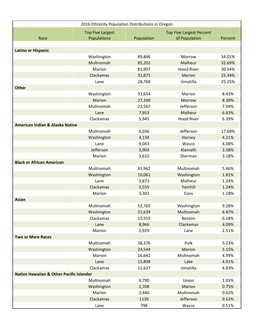|                                                     | 2016 Ethnicity Population Distributions in Oregon |            |                                                  |         |
|-----------------------------------------------------|---------------------------------------------------|------------|--------------------------------------------------|---------|
| Race                                                | <b>Top Five Largest</b><br>Populations            | Population | <b>Top Five Largest Percent</b><br>of Population | Percent |
|                                                     |                                                   |            |                                                  |         |
| <b>Latino or Hispanic</b>                           |                                                   |            |                                                  |         |
|                                                     | Washington                                        | 89,846     | Morrow                                           | 34.01%  |
|                                                     | Multnomah                                         | 85,202     | Malheur                                          | 32.69%  |
|                                                     | Marion                                            | 81,907     | <b>Hood River</b>                                | 30.54%  |
|                                                     | Clackamas                                         | 31,871     | <b>Marion</b>                                    | 25.34%  |
|                                                     | Lane                                              | 28,768     | Umatilla                                         | 25.25%  |
| <b>Other</b>                                        |                                                   |            |                                                  |         |
|                                                     | Washington                                        | 31,654     | Marion                                           | 8.43%   |
|                                                     | <b>Marion</b>                                     | 27,260     | Morrow                                           | 8.38%   |
|                                                     | Multnomah                                         | 23,567     | Jefferson                                        | 7.04%   |
|                                                     | Lane                                              | 7,953      | Malheur                                          | 6.63%   |
|                                                     | Clackamas                                         | 5,945      | <b>Hood River</b>                                | 6.39%   |
| <b>American Indian &amp; Alaska Native</b>          |                                                   |            |                                                  |         |
|                                                     | Multnomah                                         | 6,036      | Jefferson                                        | 17.69%  |
|                                                     | Washington                                        | 4,134      | Harney                                           | 4.21%   |
|                                                     | Lane                                              | 4,043      | Wasco                                            | 4.08%   |
|                                                     | Jefferson                                         | 3,903      | Klamath                                          | 3.38%   |
|                                                     | Marion                                            | 3,610      | Sherman                                          | 3.18%   |
| <b>Black or African American</b>                    |                                                   |            |                                                  |         |
|                                                     | Multnomah                                         | 41,962     | Multnomah                                        | 5.46%   |
|                                                     | Washington                                        | 10,061     | Washington                                       | 1.81%   |
|                                                     | Lane                                              | 3,873      | Malheur                                          | 1.24%   |
|                                                     | Clackamas                                         | 3,555      | Yamhill                                          | 1.24%   |
|                                                     | Marion                                            | 3,302      | Coos                                             | 1.18%   |
| <b>Asian</b>                                        |                                                   |            |                                                  |         |
|                                                     | Multnomah                                         | 52,765     | Washington                                       | 9.28%   |
|                                                     | Washington                                        | 51,639     | Multnomah                                        | 6.87%   |
|                                                     | Clackamas                                         | 15,919     | Benton                                           | 6.18%   |
|                                                     | Lane                                              | 8,966      | Clackamas                                        | 4.09%   |
|                                                     | Marion                                            | 5,929      | Lane                                             | 2.51%   |
| <b>Two or More Races</b>                            |                                                   |            |                                                  |         |
|                                                     | Multnomah                                         | 38,376     | Polk                                             | 5.23%   |
|                                                     | Washington                                        | 24,544     | <b>Marion</b>                                    | 5.15%   |
|                                                     | Marion                                            | 16,642     | Multnomah                                        | 4.99%   |
|                                                     | Lane                                              | 15,898     | Lake                                             | 4.91%   |
|                                                     | Clackamas                                         | 12,627     | Umatilla                                         | 4.83%   |
| <b>Native Hawaiian &amp; Other Pacific Islander</b> |                                                   |            |                                                  |         |
|                                                     | Multnomah                                         | 4,790      | Union                                            | 1.03%   |
|                                                     | Washington                                        | 2,708      | <b>Marion</b>                                    | 0.75%   |
|                                                     | Marion                                            | 2,440      | Multnomah                                        | 0.62%   |
|                                                     | Clackamas                                         | 1130       | Jefferson                                        | 0.52%   |
|                                                     | Lane                                              | 798        | Wasco                                            | 0.51%   |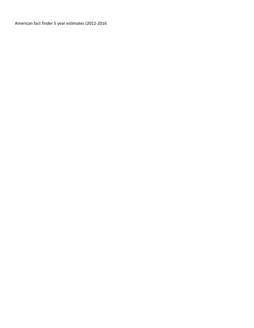American fact finder 5 year estimates (2012-2016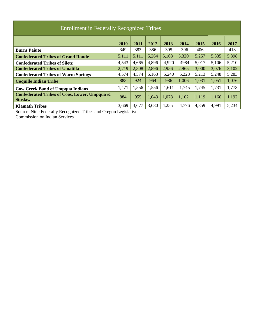| Enrollment in Federally Recognized Tribes                      |       |       |       |       |       |       |       |       |  |
|----------------------------------------------------------------|-------|-------|-------|-------|-------|-------|-------|-------|--|
| 2014<br>2010<br>2011<br>2012<br>2013<br>2015                   |       |       |       |       |       |       |       |       |  |
| <b>Burns Paiute</b>                                            | 349   | 383   | 386   | 395   | 396   | 406   |       | 418   |  |
| <b>Confederated Tribes of Grand Ronde</b>                      | 5,111 | 5,111 | 5,264 | 5,168 | 5,320 | 5,257 | 5,335 | 5,398 |  |
| <b>Confederated Tribes of Siletz</b>                           | 4,543 | 4,665 | 4,896 | 4,920 | 4984  | 5,017 | 5,106 | 5,210 |  |
| <b>Confederated Tribes of Umatilla</b>                         | 2,719 | 2,808 | 2,896 | 2,956 | 2,965 | 3,000 | 3,076 | 3,102 |  |
| <b>Confederated Tribes of Warm Springs</b>                     | 4,574 | 4,574 | 5,163 | 5,240 | 5,228 | 5,213 | 5,248 | 5,283 |  |
| <b>Coquille Indian Tribe</b>                                   | 888   | 924   | 964   | 986   | 1,006 | 1,031 | 1,051 | 1,076 |  |
| <b>Cow Creek Band of Umpqua Indians</b>                        | 1,471 | 1,556 | 1,556 | 1,611 | 1,745 | 1,745 | 1,731 | 1,773 |  |
| Confederated Tribes of Coos, Lower, Umpqua &<br><b>Siuslaw</b> | 884   | 955   | 1,043 | 1,078 | 1,102 | 1,119 | 1,166 | 1,192 |  |
| <b>Klamath Tribes</b>                                          | 3,669 | 3,677 | 3,680 | 4,255 | 4,776 | 4,859 | 4,991 | 5,234 |  |

Source: Nine Federally Recognized Tribes and Oregon Legislative

Commission on Indian Services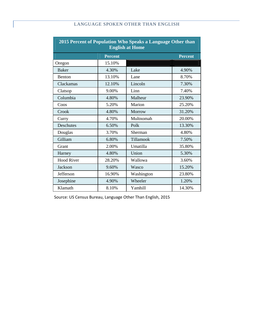# LANGUAGE SPOKEN OTHER THAN ENGLISH

| 2015 Percent of Population Who Speaks a Language Other than<br><b>English at Home</b> |                |            |                |  |  |  |
|---------------------------------------------------------------------------------------|----------------|------------|----------------|--|--|--|
|                                                                                       | <b>Percent</b> |            | <b>Percent</b> |  |  |  |
| Oregon                                                                                | 15.10%         |            |                |  |  |  |
| <b>Baker</b>                                                                          | 4.30%          | Lake       | 4.90%          |  |  |  |
| Benton                                                                                | 13.10%         | Lane       | 8.70%          |  |  |  |
| Clackamas                                                                             | 12.10%         | Lincoln    | 7.30%          |  |  |  |
| Clatsop                                                                               | 9.00%          | Linn       | 7.40%          |  |  |  |
| Columbia                                                                              | 4.80%          | Malheur    | 23.90%         |  |  |  |
| Coos                                                                                  | 5.20%          | Marion     | 25.20%         |  |  |  |
| Crook                                                                                 | 4.80%          | Morrow     | 31.20%         |  |  |  |
| Curry                                                                                 | 4.70%          | Multnomah  | 20.00%         |  |  |  |
| <b>Deschutes</b>                                                                      | 6.50%          | Polk       | 13.30%         |  |  |  |
| Douglas                                                                               | 3.70%          | Sherman    | 4.80%          |  |  |  |
| Gilliam                                                                               | 6.80%          | Tillamook  | 7.50%          |  |  |  |
| Grant                                                                                 | 2.00%          | Umatilla   | 35.80%         |  |  |  |
| Harney                                                                                | 4.80%          | Union      | 5.30%          |  |  |  |
| <b>Hood River</b>                                                                     | 28.20%         | Wallowa    | 3.60%          |  |  |  |
| Jackson                                                                               | 9.60%          | Wasco      | 15.20%         |  |  |  |
| Jefferson                                                                             | 16.90%         | Washington | 23.80%         |  |  |  |
| Josephine                                                                             | 4.90%          | Wheeler    | 1.20%          |  |  |  |
| Klamath                                                                               | 8.10%          | Yamhill    | 14.30%         |  |  |  |

Source: US Census Bureau, Language Other Than English, 2015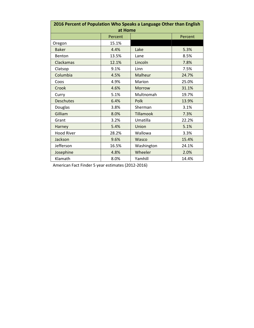| 2016 Percent of Population Who Speaks a Language Other than English |         |                  |         |  |  |  |
|---------------------------------------------------------------------|---------|------------------|---------|--|--|--|
|                                                                     | at Home |                  |         |  |  |  |
|                                                                     | Percent |                  | Percent |  |  |  |
| Oregon                                                              | 15.1%   |                  |         |  |  |  |
| <b>Baker</b>                                                        | 4.4%    | Lake             | 5.3%    |  |  |  |
| Benton                                                              | 13.5%   | Lane             | 8.5%    |  |  |  |
| Clackamas                                                           | 12.1%   | Lincoln          | 7.8%    |  |  |  |
| Clatsop                                                             | 9.1%    | Linn             | 7.5%    |  |  |  |
| Columbia                                                            | 4.5%    | Malheur          | 24.7%   |  |  |  |
| Coos                                                                | 4.9%    | Marion           | 25.0%   |  |  |  |
| Crook                                                               | 4.6%    | Morrow           | 31.1%   |  |  |  |
| Curry                                                               | 5.1%    | Multnomah        | 19.7%   |  |  |  |
| <b>Deschutes</b>                                                    | 6.4%    | Polk             | 13.9%   |  |  |  |
| Douglas                                                             | 3.8%    | Sherman          | 3.1%    |  |  |  |
| Gilliam                                                             | 8.0%    | <b>Tillamook</b> | 7.3%    |  |  |  |
| Grant                                                               | 3.2%    | Umatilla         | 22.2%   |  |  |  |
| Harney                                                              | 5.4%    | Union            | 5.1%    |  |  |  |
| <b>Hood River</b>                                                   | 28.2%   | Wallowa          | 3.3%    |  |  |  |
| Jackson                                                             | 9.6%    | Wasco            | 15.4%   |  |  |  |
| Jefferson                                                           | 16.5%   | Washington       | 24.1%   |  |  |  |
| Josephine                                                           | 4.8%    | Wheeler          | 2.0%    |  |  |  |
| Klamath                                                             | 8.0%    | Yamhill          | 14.4%   |  |  |  |

American Fact Finder 5 year estimates (2012-2016)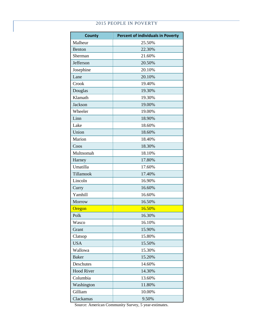### 2015 PEOPLE IN POVERTY

| <b>County</b>     | <b>Percent of individuals in Poverty</b> |
|-------------------|------------------------------------------|
| Malheur           | 25.50%                                   |
| Benton            | 22.30%                                   |
| Sherman           | 21.60%                                   |
| Jefferson         | 20.50%                                   |
| Josephine         | 20.10%                                   |
| Lane              | 20.10%                                   |
| Crook             | 19.40%                                   |
| Douglas           | 19.30%                                   |
| Klamath           | 19.30%                                   |
| Jackson           | 19.00%                                   |
| Wheeler           | 19.00%                                   |
| Linn              | 18.90%                                   |
| Lake              | 18.60%                                   |
| Union             | 18.60%                                   |
| Marion            | 18.40%                                   |
| Coos              | 18.30%                                   |
| Multnomah         | 18.10%                                   |
| Harney            | 17.80%                                   |
| Umatilla          | 17.60%                                   |
| Tillamook         | 17.40%                                   |
| Lincoln           | 16.90%                                   |
| Curry             | 16.60%                                   |
| Yamhill           | 16.60%                                   |
| Morrow            | 16.50%                                   |
| Oregon            | 16.50%                                   |
| Polk              | 16.30%                                   |
| Wasco             | 16.10%                                   |
| Grant             | 15.90%                                   |
| Clatsop           | 15.80%                                   |
| <b>USA</b>        | 15.50%                                   |
| Wallowa           | 15.30%                                   |
| <b>Baker</b>      | 15.20%                                   |
| Deschutes         | 14.60%                                   |
| <b>Hood River</b> | 14.30%                                   |
| Columbia          | 13.60%                                   |
| Washington        | 11.80%                                   |
| Gilliam           | 10.00%                                   |
| Clackamas         | 9.50%                                    |

Source: American Community Survey, 5 year-estimates.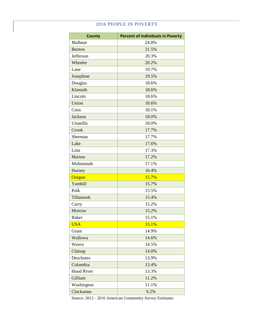#### 2016 PEOPLE IN POVERTY

| <b>County</b>     | <b>Percent of individuals in Poverty</b> |
|-------------------|------------------------------------------|
| Malheur           | 24.8%                                    |
| <b>Benton</b>     | 21.5%                                    |
| Jefferson         | 20.3%                                    |
| Wheeler           | 20.2%                                    |
| Lane              | 19.7%                                    |
| Josephine         | 19.5%                                    |
| Douglas           | 18.6%                                    |
| Klamath           | 18.6%                                    |
| Lincoln           | 18.6%                                    |
| Union             | 18.6%                                    |
| Coos              | 18.1%                                    |
| <b>Jackson</b>    | 18.0%                                    |
| Umatilla          | 18.0%                                    |
| Crook             | 17.7%                                    |
| Sherman           | 17.7%                                    |
| Lake              | 17.6%                                    |
| Linn              | 17.3%                                    |
| Marion            | 17.2%                                    |
| Multnomah         | 17.1%                                    |
| Harney            | 16.4%                                    |
| Oregon            | 15.7%                                    |
| Yamhill           | 15.7%                                    |
| Polk              | 15.5%                                    |
| Tillamook         | 15.4%                                    |
| Curry             | 15.2%                                    |
| Morrow            | 15.2%                                    |
| Baker             | 15.1%                                    |
| <b>USA</b>        | 15.1%                                    |
| Grant             | 14.9%                                    |
| Wallowa           | 14.6%                                    |
| Wasco             | 14.5%                                    |
| Clatsop           | 14.0%                                    |
| Deschutes         | 13.9%                                    |
| Columbia          | 13.4%                                    |
| <b>Hood River</b> | 13.3%                                    |
| Gilliam           | 11.2%                                    |
| Washington        | 11.1%                                    |
| Clackamas         | 9.2%                                     |

Source: 2012 - 2016 American Community Survey Estimates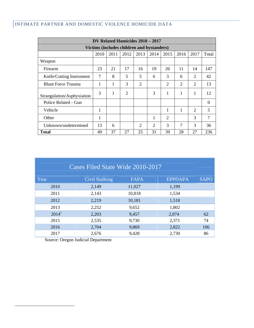# INTIMATE PARTNER AND DOMESTIC VIOLENCE HOMICIDE DATA

| DV Related Homicides 2010 - 2017           |      |      |                |                |      |                |                |                |          |
|--------------------------------------------|------|------|----------------|----------------|------|----------------|----------------|----------------|----------|
| Victims (includes children and bystanders) |      |      |                |                |      |                |                |                |          |
|                                            | 2010 | 2011 | 2012           | 2013           | 2014 | 2015           | 2016           | 2017           | Total    |
| Weapon                                     |      |      |                |                |      |                |                |                |          |
| Firearm                                    | 23   | 21   | 17             | 16             | 19   | 26             | 11             | 14             | 147      |
| Knife/Cutting Instrument                   | 7    | 8    | 5              | 5              | 6    | 3              | 6              | 2              | 42       |
| <b>Blunt Force Trauma</b>                  |      | 1    | 3              | $\overline{2}$ |      | 2              | $\overline{2}$ | $\overline{2}$ | 13       |
| Strangulation/Asphyxiation                 | 3    | 1    | $\overline{2}$ |                | 3    | 1              | 1              | 1              | 12       |
| Police Related - Gun                       |      |      |                |                |      |                |                |                | $\theta$ |
| Vehicle                                    | 1    |      |                |                |      | 1              | 1              | $\overline{2}$ | 5        |
| Other                                      | 1    |      |                |                | 1    | $\overline{2}$ |                | 3              | 7        |
| Unknown/undetermined                       | 13   | 6    |                | 2              | 2    | 3              | $\overline{7}$ | 3              | 36       |
| <b>Total</b>                               | 49   | 37   | 27             | 25             | 31   | 39             | 28             | 27             | 236      |

| Cases Filed State Wide 2010-2017 |                       |             |                |             |  |  |  |  |
|----------------------------------|-----------------------|-------------|----------------|-------------|--|--|--|--|
| Year                             | <b>Civil Stalking</b> | <b>FAPA</b> | <b>EPPDAPA</b> | <b>SAPO</b> |  |  |  |  |
| 2010                             | 2,149                 | 11,027      | 1,199          |             |  |  |  |  |
| 2011                             | 2,143                 | 10,818      | 1,534          |             |  |  |  |  |
| 2012                             | 2,219                 | 10,181      | 1,518          |             |  |  |  |  |
| 2013                             | 2,252                 | 9,652       | 1,802          |             |  |  |  |  |
| $2014^1$                         | 2,203                 | 9,457       | 2,074          | 62          |  |  |  |  |
| 2015                             | 2,535                 | 9,730       | 2,371          | 74          |  |  |  |  |
| 2016                             | 2,704                 | 9,869       | 2,822          | 106         |  |  |  |  |
| 2017                             | 2,676                 | 9,428       | 2,730          | 86          |  |  |  |  |

Source: Oregon Judicial Department